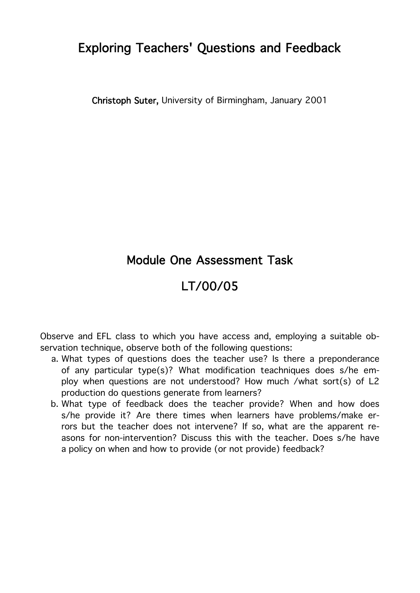Christoph Suter, University of Birmingham, January 2001

## Module One Assessment Task

# LT/00/05

Observe and EFL class to which you have access and, employing a suitable observation technique, observe both of the following questions:

- a. What types of questions does the teacher use? Is there a preponderance of any particular type(s)? What modification teachniques does s/he employ when questions are not understood? How much /what sort(s) of L2 production do questions generate from learners?
- b. What type of feedback does the teacher provide? When and how does s/he provide it? Are there times when learners have problems/make errors but the teacher does not intervene? If so, what are the apparent reasons for non-intervention? Discuss this with the teacher. Does s/he have a policy on when and how to provide (or not provide) feedback?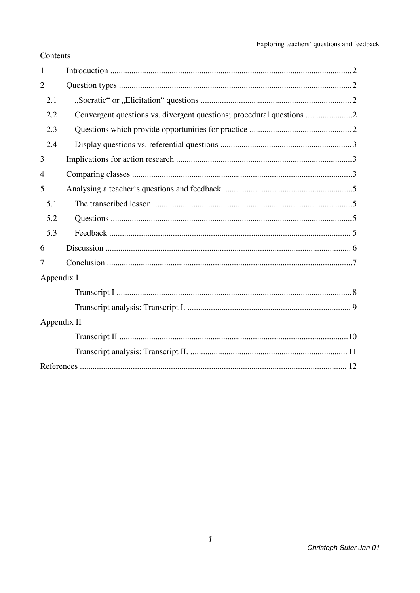| Contents |
|----------|
|----------|

| 1              |                                                                    |
|----------------|--------------------------------------------------------------------|
| $\overline{2}$ |                                                                    |
| 2.1            |                                                                    |
| 2.2            | Convergent questions vs. divergent questions; procedural questions |
| 2.3            |                                                                    |
| 2.4            |                                                                    |
| 3              |                                                                    |
| 4              |                                                                    |
| 5              |                                                                    |
| 5.1            |                                                                    |
| 5.2            |                                                                    |
| 5.3            |                                                                    |
| 6              |                                                                    |
| 7              |                                                                    |
| Appendix I     |                                                                    |
|                |                                                                    |
|                |                                                                    |
| Appendix II    |                                                                    |
|                |                                                                    |
|                |                                                                    |
|                |                                                                    |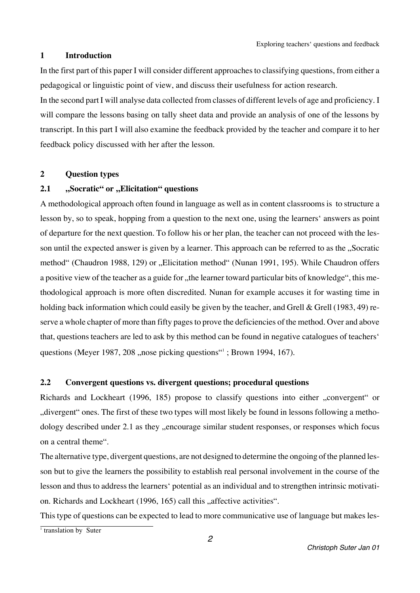#### **1 Introduction**

In the first part of this paper I will consider different approaches to classifying questions, from either a pedagogical or linguistic point of view, and discuss their usefulness for action research.

In the second part I will analyse data collected from classes of different levels of age and proficiency. I will compare the lessons basing on tally sheet data and provide an analysis of one of the lessons by transcript. In this part I will also examine the feedback provided by the teacher and compare it to her feedback policy discussed with her after the lesson.

## **2 Question types**

## **2.1 "***Socratic*" or *"Elicitation*" questions

A methodological approach often found in language as well as in content classrooms is to structure a lesson by, so to speak, hopping from a question to the next one, using the learners' answers as point of departure for the next question. To follow his or her plan, the teacher can not proceed with the lesson until the expected answer is given by a learner. This approach can be referred to as the "Socratic method" (Chaudron 1988, 129) or "Elicitation method" (Nunan 1991, 195). While Chaudron offers a positive view of the teacher as a guide for "the learner toward particular bits of knowledge", this methodological approach is more often discredited. Nunan for example accuses it for wasting time in holding back information which could easily be given by the teacher, and Grell & Grell (1983, 49) reserve a whole chapter of more than fifty pages to prove the deficiencies of the method. Over and above that, questions teachers are led to ask by this method can be found in negative catalogues of teachers' questions (Meyer 1987, 208 ,,nose picking questions <sup>\*\*</sup>1; Brown 1994, 167).

## **2.2 Convergent questions vs. divergent questions; procedural questions**

Richards and Lockheart (1996, 185) propose to classify questions into either "convergent" or "divergent" ones. The first of these two types will most likely be found in lessons following a methodology described under 2.1 as they "encourage similar student responses, or responses which focus on a central theme".

The alternative type, divergent questions, are not designed to determine the ongoing of the planned lesson but to give the learners the possibility to establish real personal involvement in the course of the lesson and thus to address the learners' potential as an individual and to strengthen intrinsic motivation. Richards and Lockheart (1996, 165) call this "affective activities".

This type of questions can be expected to lead to more communicative use of language but makes les-

 $\frac{1}{1}$  translation by Suter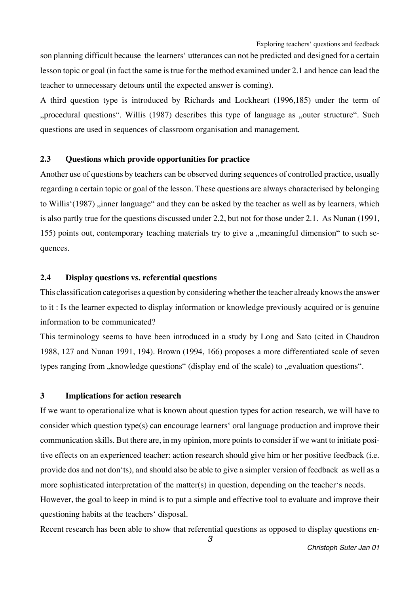son planning difficult because the learners' utterances can not be predicted and designed for a certain lesson topic or goal (in fact the same is true for the method examined under 2.1 and hence can lead the teacher to unnecessary detours until the expected answer is coming).

A third question type is introduced by Richards and Lockheart (1996,185) under the term of "procedural questions". Willis (1987) describes this type of language as "outer structure". Such questions are used in sequences of classroom organisation and management.

#### **2.3 Questions which provide opportunities for practice**

Another use of questions by teachers can be observed during sequences of controlled practice, usually regarding a certain topic or goal of the lesson. These questions are always characterised by belonging to Willis'(1987), inner language" and they can be asked by the teacher as well as by learners, which is also partly true for the questions discussed under 2.2, but not for those under 2.1. As Nunan (1991, 155) points out, contemporary teaching materials try to give a "meaningful dimension" to such sequences.

#### **2.4 Display questions vs. referential questions**

This classification categorises a question by considering whether the teacher already knows the answer to it : Is the learner expected to display information or knowledge previously acquired or is genuine information to be communicated?

This terminology seems to have been introduced in a study by Long and Sato (cited in Chaudron 1988, 127 and Nunan 1991, 194). Brown (1994, 166) proposes a more differentiated scale of seven types ranging from "knowledge questions" (display end of the scale) to "evaluation questions".

#### **3 Implications for action research**

If we want to operationalize what is known about question types for action research, we will have to consider which question type(s) can encourage learners' oral language production and improve their communication skills. But there are, in my opinion, more points to consider if we want to initiate positive effects on an experienced teacher: action research should give him or her positive feedback (i.e. provide dos and not don'ts), and should also be able to give a simpler version of feedback as well as a more sophisticated interpretation of the matter(s) in question, depending on the teacher's needs. However, the goal to keep in mind is to put a simple and effective tool to evaluate and improve their questioning habits at the teachers' disposal.

Recent research has been able to show that referential questions as opposed to display questions en-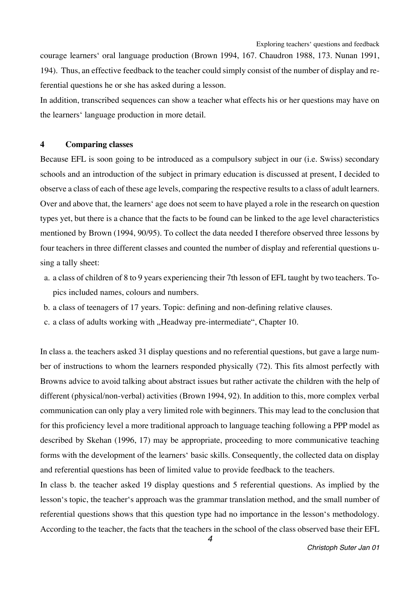courage learners' oral language production (Brown 1994, 167. Chaudron 1988, 173. Nunan 1991, 194). Thus, an effective feedback to the teacher could simply consist of the number of display and referential questions he or she has asked during a lesson.

In addition, transcribed sequences can show a teacher what effects his or her questions may have on the learners' language production in more detail.

#### **4 Comparing classes**

Because EFL is soon going to be introduced as a compulsory subject in our (i.e. Swiss) secondary schools and an introduction of the subject in primary education is discussed at present, I decided to observe a class of each of these age levels, comparing the respective results to a class of adult learners. Over and above that, the learners' age does not seem to have played a role in the research on question types yet, but there is a chance that the facts to be found can be linked to the age level characteristics mentioned by Brown (1994, 90/95). To collect the data needed I therefore observed three lessons by four teachers in three different classes and counted the number of display and referential questions using a tally sheet:

- a. a class of children of 8 to 9 years experiencing their 7th lesson of EFL taught by two teachers. Topics included names, colours and numbers.
- b. a class of teenagers of 17 years. Topic: defining and non-defining relative clauses.
- c. a class of adults working with "Headway pre-intermediate", Chapter 10.

In class a. the teachers asked 31 display questions and no referential questions, but gave a large number of instructions to whom the learners responded physically (72). This fits almost perfectly with Browns advice to avoid talking about abstract issues but rather activate the children with the help of different (physical/non-verbal) activities (Brown 1994, 92). In addition to this, more complex verbal communication can only play a very limited role with beginners. This may lead to the conclusion that for this proficiency level a more traditional approach to language teaching following a PPP model as described by Skehan (1996, 17) may be appropriate, proceeding to more communicative teaching forms with the development of the learners' basic skills. Consequently, the collected data on display and referential questions has been of limited value to provide feedback to the teachers.

In class b. the teacher asked 19 display questions and 5 referential questions. As implied by the lesson's topic, the teacher's approach was the grammar translation method, and the small number of referential questions shows that this question type had no importance in the lesson's methodology. According to the teacher, the facts that the teachers in the school of the class observed base their EFL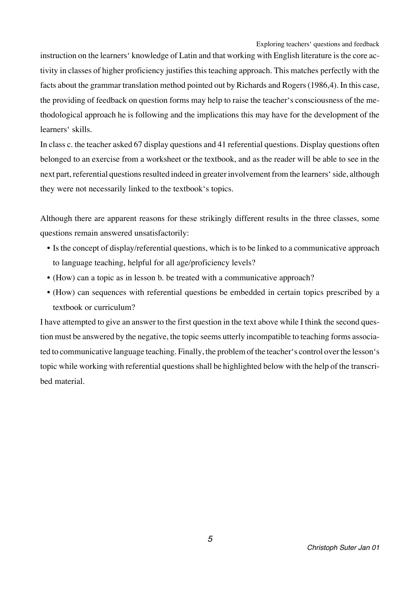instruction on the learners' knowledge of Latin and that working with English literature is the core activity in classes of higher proficiency justifies this teaching approach. This matches perfectly with the facts about the grammar translation method pointed out by Richards and Rogers (1986,4). In this case, the providing of feedback on question forms may help to raise the teacher's consciousness of the methodological approach he is following and the implications this may have for the development of the learners' skills.

In class c. the teacher asked 67 display questions and 41 referential questions. Display questions often belonged to an exercise from a worksheet or the textbook, and as the reader will be able to see in the next part, referential questions resulted indeed in greater involvement from the learners' side, although they were not necessarily linked to the textbook's topics.

Although there are apparent reasons for these strikingly different results in the three classes, some questions remain answered unsatisfactorily:

- Is the concept of display/referential questions, which is to be linked to a communicative approach to language teaching, helpful for all age/proficiency levels?
- (How) can a topic as in lesson b. be treated with a communicative approach?
- (How) can sequences with referential questions be embedded in certain topics prescribed by a textbook or curriculum?

I have attempted to give an answer to the first question in the text above while I think the second question must be answered by the negative, the topic seems utterly incompatible to teaching forms associated to communicative language teaching. Finally, the problem of the teacher's control over the lesson's topic while working with referential questions shall be highlighted below with the help of the transcribed material.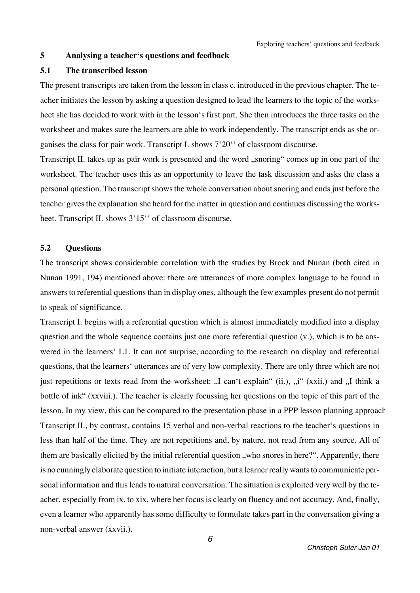#### **5 Analysing a teacher's questions and feedback**

#### **5.1 The transcribed lesson**

The present transcripts are taken from the lesson in class c. introduced in the previous chapter. The teacher initiates the lesson by asking a question designed to lead the learners to the topic of the worksheet she has decided to work with in the lesson's first part. She then introduces the three tasks on the worksheet and makes sure the learners are able to work independently. The transcript ends as she organises the class for pair work. Transcript I. shows 7'20'' of classroom discourse.

Transcript II. takes up as pair work is presented and the word "snoring" comes up in one part of the worksheet. The teacher uses this as an opportunity to leave the task discussion and asks the class a personal question. The transcript shows the whole conversation about snoring and ends just before the teacher gives the explanation she heard for the matter in question and continues discussing the worksheet. Transcript II. shows  $3'15''$  of classroom discourse.

### **5.2 Questions**

The transcript shows considerable correlation with the studies by Brock and Nunan (both cited in Nunan 1991, 194) mentioned above: there are utterances of more complex language to be found in answers to referential questions than in display ones, although the few examples present do not permit to speak of significance.

Transcript I. begins with a referential question which is almost immediately modified into a display question and the whole sequence contains just one more referential question (v.), which is to be answered in the learners' L1. It can not surprise, according to the research on display and referential questions, that the learners' utterances are of very low complexity. There are only three which are not just repetitions or texts read from the worksheet: "I can't explain" (ii.), "i" (xxii.) and "I think a bottle of ink" (xxviii.). The teacher is clearly focussing her questions on the topic of this part of the lesson. In my view, this can be compared to the presentation phase in a PPP lesson planning approacher Transcript II., by contrast, contains 15 verbal and non-verbal reactions to the teacher's questions in less than half of the time. They are not repetitions and, by nature, not read from any source. All of them are basically elicited by the initial referential question, who snores in here?". Apparently, there is no cunningly elaborate question to initiate interaction, but a learner really wants to communicate personal information and this leads to natural conversation. The situation is exploited very well by the teacher, especially from ix. to xix. where her focus is clearly on fluency and not accuracy. And, finally, even a learner who apparently has some difficulty to formulate takes part in the conversation giving a non-verbal answer (xxvii.).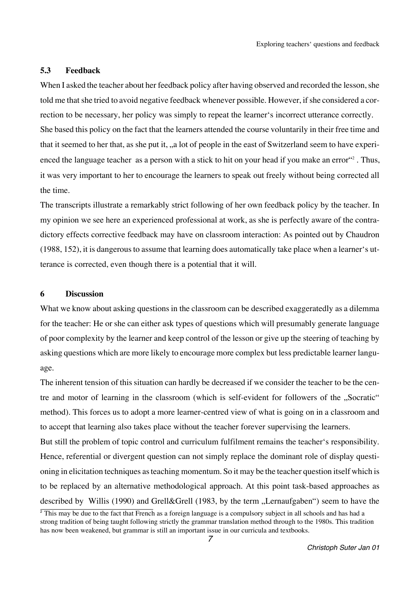### **5.3 Feedback**

When I asked the teacher about her feedback policy after having observed and recorded the lesson, she told me that she tried to avoid negative feedback whenever possible. However, if she considered a correction to be necessary, her policy was simply to repeat the learner's incorrect utterance correctly. She based this policy on the fact that the learners attended the course voluntarily in their free time and that it seemed to her that, as she put it, ,,a lot of people in the east of Switzerland seem to have experienced the language teacher as a person with a stick to hit on your head if you make an error <sup>"2</sup>. Thus, it was very important to her to encourage the learners to speak out freely without being corrected all the time.

The transcripts illustrate a remarkably strict following of her own feedback policy by the teacher. In my opinion we see here an experienced professional at work, as she is perfectly aware of the contradictory effects corrective feedback may have on classroom interaction: As pointed out by Chaudron (1988, 152), it is dangerous to assume that learning does automatically take place when a learner's utterance is corrected, even though there is a potential that it will.

#### **6 Discussion**

What we know about asking questions in the classroom can be described exaggeratedly as a dilemma for the teacher: He or she can either ask types of questions which will presumably generate language of poor complexity by the learner and keep control of the lesson or give up the steering of teaching by asking questions which are more likely to encourage more complex but less predictable learner language.

The inherent tension of this situation can hardly be decreased if we consider the teacher to be the centre and motor of learning in the classroom (which is self-evident for followers of the "Socratic" method). This forces us to adopt a more learner-centred view of what is going on in a classroom and to accept that learning also takes place without the teacher forever supervising the learners.

But still the problem of topic control and curriculum fulfilment remains the teacher's responsibility. Hence, referential or divergent question can not simply replace the dominant role of display questioning in elicitation techniques as teaching momentum. So it may be the teacher question itself which is to be replaced by an alternative methodological approach. At this point task-based approaches as described by Willis (1990) and Grell&Grell (1983, by the term "Lernaufgaben") seem to have the

 $\frac{1}{2}$  This may be due to the fact that French as a foreign language is a compulsory subject in all schools and has had a strong tradition of being taught following strictly the grammar translation method through to the 1980s. This tradition has now been weakened, but grammar is still an important issue in our curricula and textbooks.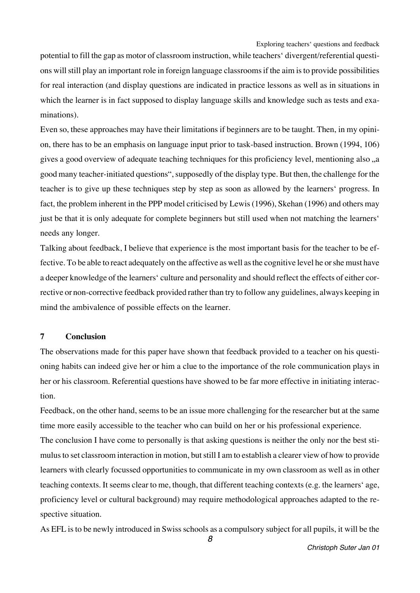potential to fill the gap as motor of classroom instruction, while teachers' divergent/referential questions will still play an important role in foreign language classrooms if the aim is to provide possibilities for real interaction (and display questions are indicated in practice lessons as well as in situations in which the learner is in fact supposed to display language skills and knowledge such as tests and examinations).

Even so, these approaches may have their limitations if beginners are to be taught. Then, in my opinion, there has to be an emphasis on language input prior to task-based instruction. Brown (1994, 106) gives a good overview of adequate teaching techniques for this proficiency level, mentioning also "a good many teacher-initiated questions", supposedly of the display type. But then, the challenge for the teacher is to give up these techniques step by step as soon as allowed by the learners' progress. In fact, the problem inherent in the PPP model criticised by Lewis (1996), Skehan (1996) and others may just be that it is only adequate for complete beginners but still used when not matching the learners' needs any longer.

Talking about feedback, I believe that experience is the most important basis for the teacher to be effective. To be able to react adequately on the affective as well as the cognitive level he or she must have a deeper knowledge of the learners' culture and personality and should reflect the effects of either corrective or non-corrective feedback provided rather than try to follow any guidelines, always keeping in mind the ambivalence of possible effects on the learner.

## **7 Conclusion**

The observations made for this paper have shown that feedback provided to a teacher on his questioning habits can indeed give her or him a clue to the importance of the role communication plays in her or his classroom. Referential questions have showed to be far more effective in initiating interaction.

Feedback, on the other hand, seems to be an issue more challenging for the researcher but at the same time more easily accessible to the teacher who can build on her or his professional experience.

The conclusion I have come to personally is that asking questions is neither the only nor the best stimulus to set classroom interaction in motion, but still I am to establish a clearer view of how to provide learners with clearly focussed opportunities to communicate in my own classroom as well as in other teaching contexts. It seems clear to me, though, that different teaching contexts (e.g. the learners' age, proficiency level or cultural background) may require methodological approaches adapted to the respective situation.

As EFL is to be newly introduced in Swiss schools as a compulsory subject for all pupils, it will be the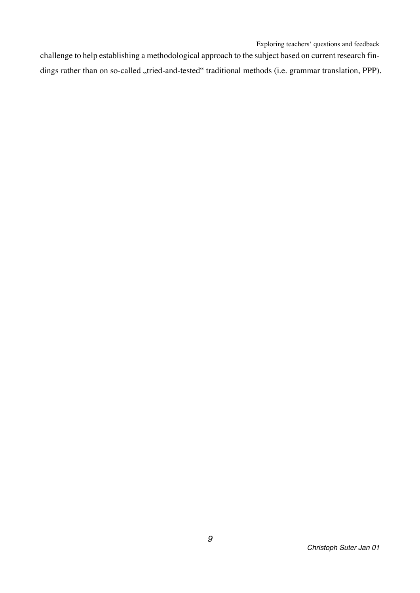challenge to help establishing a methodological approach to the subject based on current research findings rather than on so-called "tried-and-tested" traditional methods (i.e. grammar translation, PPP).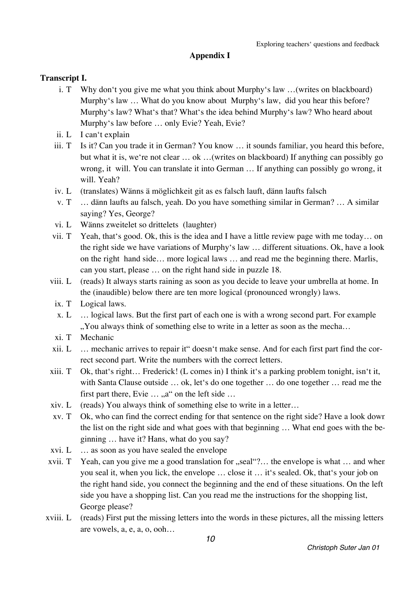## **Appendix I**

## **Transcript I.**

- i. T Why don't you give me what you think about Murphy's law …(writes on blackboard) Murphy's law ... What do you know about Murphy's law, did you hear this before? Murphy's law? What's that? What's the idea behind Murphy's law? Who heard about Murphy's law before … only Evie? Yeah, Evie?
- ii. L I can't explain
- iii. T Is it? Can you trade it in German? You know ... it sounds familiar, you heard this before, but what it is, we're not clear … ok …(writes on blackboard) If anything can possibly go wrong, it will. You can translate it into German … If anything can possibly go wrong, it will. Yeah?
- iv. L (translates) Wänns ä möglichkeit git as es falsch lauft, dänn laufts falsch
- v. T … dänn laufts au falsch, yeah. Do you have something similar in German? … A similar saying? Yes, George?
- vi. L Wänns zweitelet so drittelets (laughter)
- vii. T Yeah, that's good. Ok, this is the idea and I have a little review page with me today… on the right side we have variations of Murphy's law … different situations. Ok, have a look on the right hand side… more logical laws … and read me the beginning there. Marlis, can you start, please … on the right hand side in puzzle 18.
- viii. L (reads) It always starts raining as soon as you decide to leave your umbrella at home. In the (inaudible) below there are ten more logical (pronounced wrongly) laws.
	- ix. T Logical laws.
	- x. L … logical laws. But the first part of each one is with a wrong second part. For example ", You always think of something else to write in a letter as soon as the mecha...
	- xi. T Mechanic
- xii. L … mechanic arrives to repair it" doesn't make sense. And for each first part find the correct second part. Write the numbers with the correct letters.
- xiii. T Ok, that's right… Frederick! (L comes in) I think it's a parking problem tonight, isn't it, with Santa Clause outside … ok, let's do one together … do one together … read me the first part there, Evie  $\dots$ , a" on the left side  $\dots$
- xiv. L (reads) You always think of something else to write in a letter…
- xv. T Ok, who can find the correct ending for that sentence on the right side? Have a look down the list on the right side and what goes with that beginning … What end goes with the beginning … have it? Hans, what do you say?
- xvi. L … as soon as you have sealed the envelope
- xvii. T Yeah, can you give me a good translation for  $\mu$ seal... the envelope is what  $\ldots$  and when you seal it, when you lick, the envelope … close it … it's sealed. Ok, that's your job on the right hand side, you connect the beginning and the end of these situations. On the left side you have a shopping list. Can you read me the instructions for the shopping list, George please?
- xviii. L (reads) First put the missing letters into the words in these pictures, all the missing letters are vowels, a, e, a, o, ooh…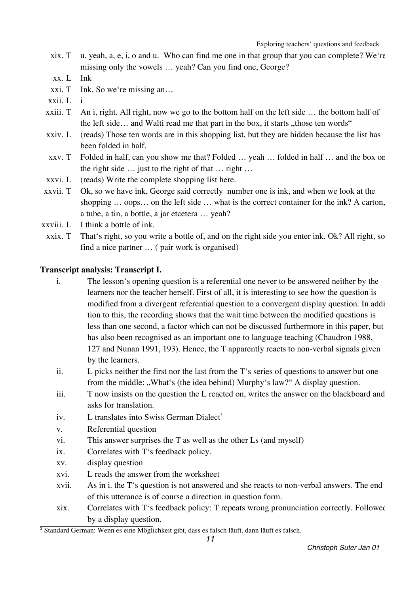- xix. T u, yeah, a, e, i, o and u. Who can find me one in that group that you can complete? We're missing only the vowels … yeah? Can you find one, George?
- xx. L Ink
- xxi. T Ink. So we're missing an…
- xxii. L i
- xxiii. T An i, right. All right, now we go to the bottom half on the left side … the bottom half of the left side... and Walti read me that part in the box, it starts  $n$ , those ten words"
- xxiv. L (reads) Those ten words are in this shopping list, but they are hidden because the list has been folded in half.
- xxv. T Folded in half, can you show me that? Folded … yeah … folded in half … and the box on the right side … just to the right of that … right …
- xxvi. L (reads) Write the complete shopping list here.
- xxvii. T Ok, so we have ink, George said correctly number one is ink, and when we look at the shopping … oops… on the left side … what is the correct container for the ink? A carton, a tube, a tin, a bottle, a jar etcetera … yeah?
- xxviii. L I think a bottle of ink.
- xxix. T That's right, so you write a bottle of, and on the right side you enter ink. Ok? All right, so find a nice partner … ( pair work is organised)

## **Transcript analysis: Transcript I.**

- i. The lesson's opening question is a referential one never to be answered neither by the learners nor the teacher herself. First of all, it is interesting to see how the question is modified from a divergent referential question to a convergent display question. In addition to this, the recording shows that the wait time between the modified questions is less than one second, a factor which can not be discussed furthermore in this paper, but has also been recognised as an important one to language teaching (Chaudron 1988, 127 and Nunan 1991, 193). Hence, the T apparently reacts to non-verbal signals given by the learners.
- ii. L picks neither the first nor the last from the T's series of questions to answer but one from the middle: "What's (the idea behind) Murphy's law?" A display question.
- iii. T now insists on the question the L reacted on, writes the answer on the blackboard and asks for translation.
- iv. L translates into Swiss German Dialect<sup>3</sup>
- v. Referential question
- vi. This answer surprises the T as well as the other Ls (and myself)
- ix. Correlates with T's feedback policy.
- xv. display question
- xvi. L reads the answer from the worksheet
- xvii. As in i. the T's question is not answered and she reacts to non-verbal answers. The end of this utterance is of course a direction in question form.
- xix. Correlates with T's feedback policy: T repeats wrong pronunciation correctly. Followed by a display question.

<sup>&</sup>lt;sup>3</sup> Standard German: Wenn es eine Möglichkeit gibt, dass es falsch läuft, dann läuft es falsch.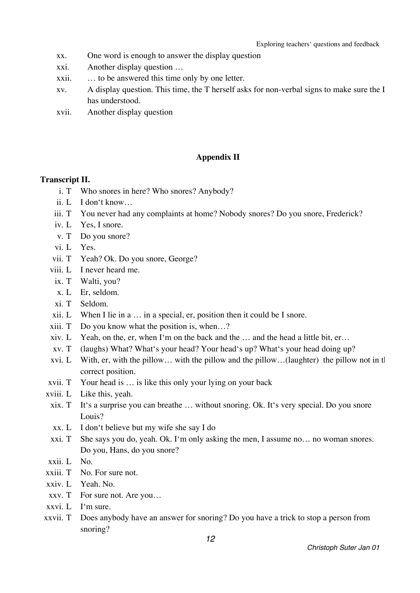- xx. One word is enough to answer the display question
- xxi. Another display question …
- xxii. … to be answered this time only by one letter.
- xv. A display question. This time, the T herself asks for non-verbal signs to make sure the L has understood.
- xvii. Another display question

## **Appendix II**

#### **Transcript II.**

- i. T Who snores in here? Who snores? Anybody?
- ii. L I don't know…
- iii. T You never had any complaints at home? Nobody snores? Do you snore, Frederick?
- iv. L Yes, I snore.
- v. T Do you snore?
- vi. L Yes.
- vii. T Yeah? Ok. Do you snore, George?
- viii. L I never heard me.
	- ix. T Walti, you?
	- x. L Er, seldom.
	- xi. T Seldom.
- xii. L When I lie in a … in a special, er, position then it could be I snore.
- xiii. T Do you know what the position is, when…?
- xiv. L Yeah, on the, er, when I'm on the back and the … and the head a little bit, er…
- xv. T (laughs) What? What's your head? Your head's up? What's your head doing up?
- xvi. L With, er, with the pillow… with the pillow and the pillow…(laughter) the pillow not in the correct position.
- xvii. T Your head is … is like this only your lying on your back
- xviii. L Like this, yeah.
- xix. T It's a surprise you can breathe … without snoring. Ok. It's very special. Do you snore Louis?
- xx. L I don't believe but my wife she say I do
- xxi. T She says you do, yeah. Ok. I'm only asking the men, I assume no… no woman snores. Do you, Hans, do you snore?
- xxii. L No.
- xxiii. T No. For sure not.
- xxiv. L Yeah. No.
- xxv. T For sure not. Are you…
- xxvi. L I'm sure.
- xxvii. T Does anybody have an answer for snoring? Do you have a trick to stop a person from snoring?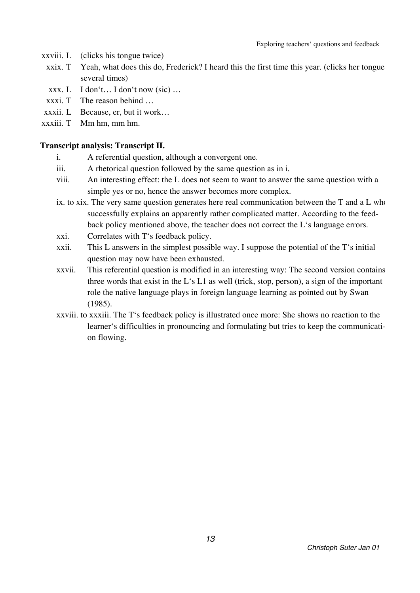- xxviii. L (clicks his tongue twice)
	- xxix. T Yeah, what does this do, Frederick? I heard this the first time this year. (clicks her tongue several times)
	- xxx.  $L$  I don't... I don't now (sic) ...
	- $xxxi$ . T The reason behind  $\ldots$
- xxxii. L Because, er, but it work…
- xxxiii. T Mm hm, mm hm.

## **Transcript analysis: Transcript II.**

- i. A referential question, although a convergent one.
- iii. A rhetorical question followed by the same question as in i.
- viii. An interesting effect: the L does not seem to want to answer the same question with a simple yes or no, hence the answer becomes more complex.
- ix. to xix. The very same question generates here real communication between the  $T$  and a  $L$  who successfully explains an apparently rather complicated matter. According to the feedback policy mentioned above, the teacher does not correct the L's language errors.
- xxi. Correlates with T's feedback policy.
- xxii. This L answers in the simplest possible way. I suppose the potential of the T's initial question may now have been exhausted.
- xxvii. This referential question is modified in an interesting way: The second version contains three words that exist in the L's L1 as well (trick, stop, person), a sign of the important role the native language plays in foreign language learning as pointed out by Swan (1985).
- xxviii. to xxxiii. The T's feedback policy is illustrated once more: She shows no reaction to the learner's difficulties in pronouncing and formulating but tries to keep the communication flowing.